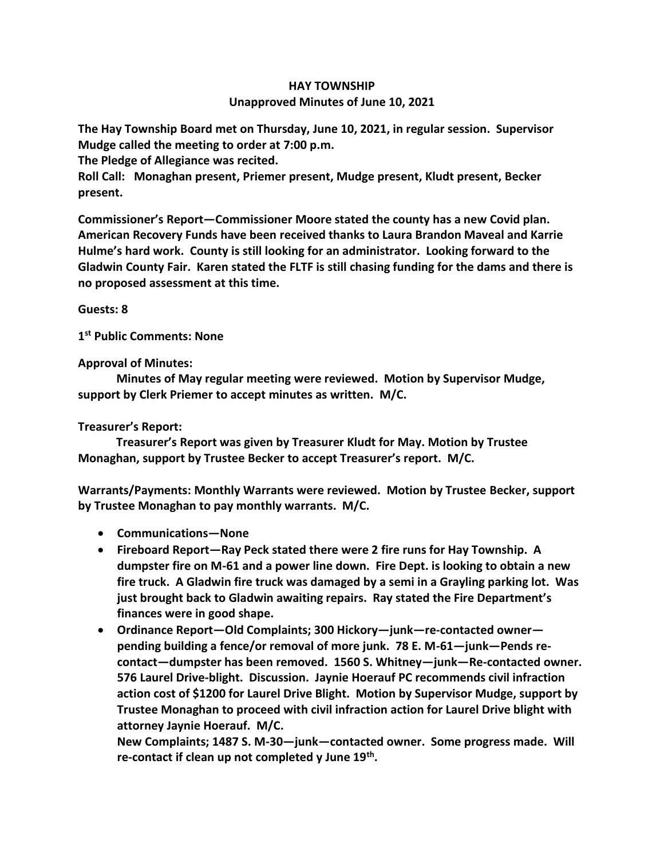## **HAY TOWNSHIP Unapproved Minutes of June 10, 2021**

**The Hay Township Board met on Thursday, June 10, 2021, in regular session. Supervisor Mudge called the meeting to order at 7:00 p.m.** 

**The Pledge of Allegiance was recited.** 

**Roll Call: Monaghan present, Priemer present, Mudge present, Kludt present, Becker present.**

**Commissioner's Report—Commissioner Moore stated the county has a new Covid plan. American Recovery Funds have been received thanks to Laura Brandon Maveal and Karrie Hulme's hard work. County is still looking for an administrator. Looking forward to the Gladwin County Fair. Karen stated the FLTF is still chasing funding for the dams and there is no proposed assessment at this time.**

**Guests: 8**

**1 st Public Comments: None**

**Approval of Minutes:**

 **Minutes of May regular meeting were reviewed. Motion by Supervisor Mudge, support by Clerk Priemer to accept minutes as written. M/C.**

## **Treasurer's Report:**

 **Treasurer's Report was given by Treasurer Kludt for May. Motion by Trustee Monaghan, support by Trustee Becker to accept Treasurer's report. M/C.**

**Warrants/Payments: Monthly Warrants were reviewed. Motion by Trustee Becker, support by Trustee Monaghan to pay monthly warrants. M/C.**

- **Communications—None**
- **Fireboard Report—Ray Peck stated there were 2 fire runs for Hay Township. A dumpster fire on M-61 and a power line down. Fire Dept. is looking to obtain a new fire truck. A Gladwin fire truck was damaged by a semi in a Grayling parking lot. Was just brought back to Gladwin awaiting repairs. Ray stated the Fire Department's finances were in good shape.**
- **Ordinance Report—Old Complaints; 300 Hickory—junk—re-contacted owner pending building a fence/or removal of more junk. 78 E. M-61—junk—Pends recontact—dumpster has been removed. 1560 S. Whitney—junk—Re-contacted owner. 576 Laurel Drive-blight. Discussion. Jaynie Hoerauf PC recommends civil infraction action cost of \$1200 for Laurel Drive Blight. Motion by Supervisor Mudge, support by Trustee Monaghan to proceed with civil infraction action for Laurel Drive blight with attorney Jaynie Hoerauf. M/C.**

**New Complaints; 1487 S. M-30—junk—contacted owner. Some progress made. Will re-contact if clean up not completed y June 19th .**